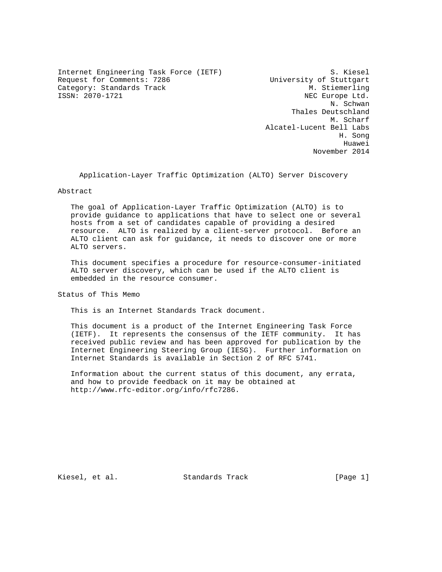Internet Engineering Task Force (IETF) S. Kiesel Request for Comments: 7286 University of Stuttgart<br>Category: Standards Track M. Stiemerling Category: Standards Track<br>ISSN: 2070-1721

NEC Europe Ltd. N. Schwan Thales Deutschland M. Scharf Alcatel-Lucent Bell Labs H. Song Huawei November 2014

Application-Layer Traffic Optimization (ALTO) Server Discovery

Abstract

 The goal of Application-Layer Traffic Optimization (ALTO) is to provide guidance to applications that have to select one or several hosts from a set of candidates capable of providing a desired resource. ALTO is realized by a client-server protocol. Before an ALTO client can ask for guidance, it needs to discover one or more ALTO servers.

 This document specifies a procedure for resource-consumer-initiated ALTO server discovery, which can be used if the ALTO client is embedded in the resource consumer.

Status of This Memo

This is an Internet Standards Track document.

 This document is a product of the Internet Engineering Task Force (IETF). It represents the consensus of the IETF community. It has received public review and has been approved for publication by the Internet Engineering Steering Group (IESG). Further information on Internet Standards is available in Section 2 of RFC 5741.

 Information about the current status of this document, any errata, and how to provide feedback on it may be obtained at http://www.rfc-editor.org/info/rfc7286.

Kiesel, et al. Standards Track [Page 1]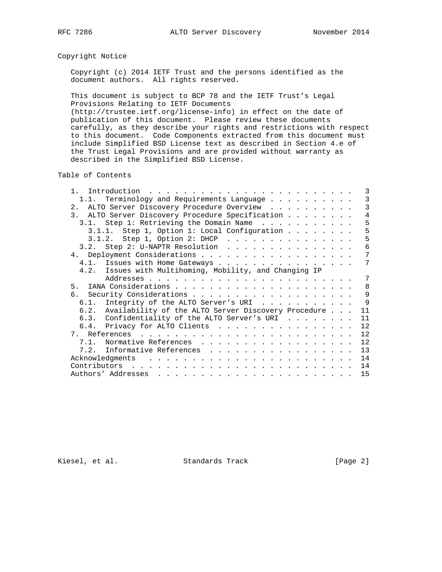# Copyright Notice

 Copyright (c) 2014 IETF Trust and the persons identified as the document authors. All rights reserved.

 This document is subject to BCP 78 and the IETF Trust's Legal Provisions Relating to IETF Documents

 (http://trustee.ietf.org/license-info) in effect on the date of publication of this document. Please review these documents carefully, as they describe your rights and restrictions with respect to this document. Code Components extracted from this document must include Simplified BSD License text as described in Section 4.e of the Trust Legal Provisions and are provided without warranty as described in the Simplified BSD License.

Table of Contents

| Introduction<br>$\mathbf{1}$                                |  | 3            |
|-------------------------------------------------------------|--|--------------|
| Terminology and Requirements Language<br>1.1.               |  | 3            |
| 2. ALTO Server Discovery Procedure Overview                 |  | 3            |
| 3. ALTO Server Discovery Procedure Specification            |  | 4            |
| 3.1. Step 1: Retrieving the Domain Name                     |  | 5            |
| 3.1.1. Step 1, Option 1: Local Configuration                |  | 5            |
|                                                             |  | 5            |
| 3.2. Step 2: U-NAPTR Resolution                             |  | 6            |
|                                                             |  | 7            |
| 4.1. Issues with Home Gateways                              |  | 7            |
| 4.2. Issues with Multihoming, Mobility, and Changing IP     |  |              |
|                                                             |  | 7            |
| 5                                                           |  | 8            |
|                                                             |  | $\mathsf{Q}$ |
| 6.1. Integrity of the ALTO Server's URI                     |  | $\mathsf{Q}$ |
| Availability of the ALTO Server Discovery Procedure<br>6.2. |  | 11           |
| 6.3. Confidentiality of the ALTO Server's URI               |  | 11           |
| 6.4. Privacy for ALTO Clients                               |  | 12           |
|                                                             |  | 12           |
| 7.1. Normative References                                   |  | 12           |
| 7.2. Informative References                                 |  | 13           |
| Acknowledgments                                             |  | 14           |
| Contributors                                                |  | 14           |
|                                                             |  | 15           |

Kiesel, et al. Standards Track [Page 2]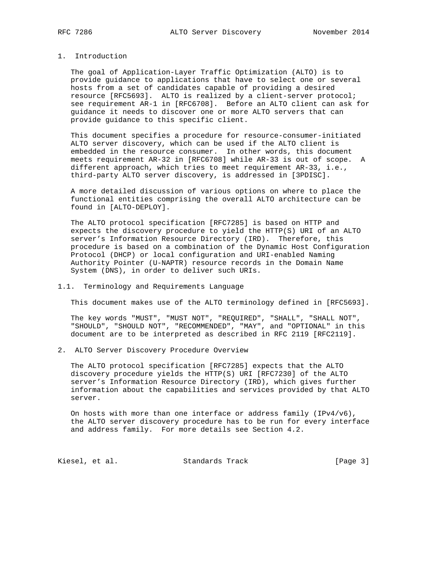## 1. Introduction

 The goal of Application-Layer Traffic Optimization (ALTO) is to provide guidance to applications that have to select one or several hosts from a set of candidates capable of providing a desired resource [RFC5693]. ALTO is realized by a client-server protocol; see requirement AR-1 in [RFC6708]. Before an ALTO client can ask for guidance it needs to discover one or more ALTO servers that can provide guidance to this specific client.

 This document specifies a procedure for resource-consumer-initiated ALTO server discovery, which can be used if the ALTO client is embedded in the resource consumer. In other words, this document meets requirement AR-32 in [RFC6708] while AR-33 is out of scope. A different approach, which tries to meet requirement AR-33, i.e., third-party ALTO server discovery, is addressed in [3PDISC].

 A more detailed discussion of various options on where to place the functional entities comprising the overall ALTO architecture can be found in [ALTO-DEPLOY].

 The ALTO protocol specification [RFC7285] is based on HTTP and expects the discovery procedure to yield the HTTP(S) URI of an ALTO server's Information Resource Directory (IRD). Therefore, this procedure is based on a combination of the Dynamic Host Configuration Protocol (DHCP) or local configuration and URI-enabled Naming Authority Pointer (U-NAPTR) resource records in the Domain Name System (DNS), in order to deliver such URIs.

## 1.1. Terminology and Requirements Language

This document makes use of the ALTO terminology defined in [RFC5693].

 The key words "MUST", "MUST NOT", "REQUIRED", "SHALL", "SHALL NOT", "SHOULD", "SHOULD NOT", "RECOMMENDED", "MAY", and "OPTIONAL" in this document are to be interpreted as described in RFC 2119 [RFC2119].

## 2. ALTO Server Discovery Procedure Overview

 The ALTO protocol specification [RFC7285] expects that the ALTO discovery procedure yields the HTTP(S) URI [RFC7230] of the ALTO server's Information Resource Directory (IRD), which gives further information about the capabilities and services provided by that ALTO server.

 On hosts with more than one interface or address family (IPv4/v6), the ALTO server discovery procedure has to be run for every interface and address family. For more details see Section 4.2.

Kiesel, et al. Standards Track [Page 3]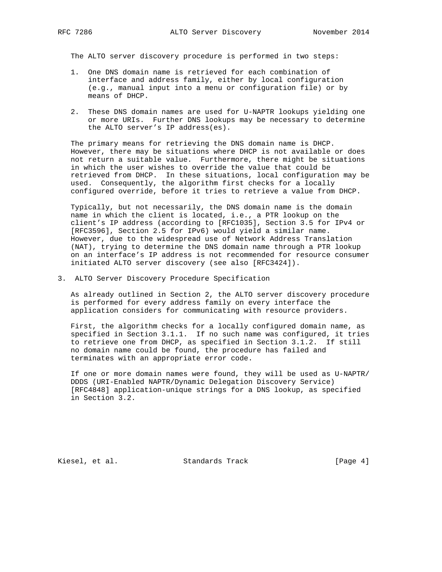The ALTO server discovery procedure is performed in two steps:

- 1. One DNS domain name is retrieved for each combination of interface and address family, either by local configuration (e.g., manual input into a menu or configuration file) or by means of DHCP.
- 2. These DNS domain names are used for U-NAPTR lookups yielding one or more URIs. Further DNS lookups may be necessary to determine the ALTO server's IP address(es).

 The primary means for retrieving the DNS domain name is DHCP. However, there may be situations where DHCP is not available or does not return a suitable value. Furthermore, there might be situations in which the user wishes to override the value that could be retrieved from DHCP. In these situations, local configuration may be used. Consequently, the algorithm first checks for a locally configured override, before it tries to retrieve a value from DHCP.

 Typically, but not necessarily, the DNS domain name is the domain name in which the client is located, i.e., a PTR lookup on the client's IP address (according to [RFC1035], Section 3.5 for IPv4 or [RFC3596], Section 2.5 for IPv6) would yield a similar name. However, due to the widespread use of Network Address Translation (NAT), trying to determine the DNS domain name through a PTR lookup on an interface's IP address is not recommended for resource consumer initiated ALTO server discovery (see also [RFC3424]).

3. ALTO Server Discovery Procedure Specification

 As already outlined in Section 2, the ALTO server discovery procedure is performed for every address family on every interface the application considers for communicating with resource providers.

 First, the algorithm checks for a locally configured domain name, as specified in Section 3.1.1. If no such name was configured, it tries to retrieve one from DHCP, as specified in Section 3.1.2. If still no domain name could be found, the procedure has failed and terminates with an appropriate error code.

 If one or more domain names were found, they will be used as U-NAPTR/ DDDS (URI-Enabled NAPTR/Dynamic Delegation Discovery Service) [RFC4848] application-unique strings for a DNS lookup, as specified in Section 3.2.

Kiesel, et al. Standards Track [Page 4]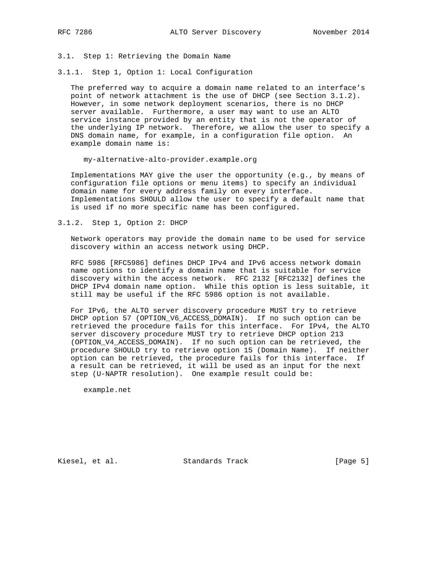3.1. Step 1: Retrieving the Domain Name

3.1.1. Step 1, Option 1: Local Configuration

 The preferred way to acquire a domain name related to an interface's point of network attachment is the use of DHCP (see Section 3.1.2). However, in some network deployment scenarios, there is no DHCP server available. Furthermore, a user may want to use an ALTO service instance provided by an entity that is not the operator of the underlying IP network. Therefore, we allow the user to specify a DNS domain name, for example, in a configuration file option. An example domain name is:

my-alternative-alto-provider.example.org

 Implementations MAY give the user the opportunity (e.g., by means of configuration file options or menu items) to specify an individual domain name for every address family on every interface. Implementations SHOULD allow the user to specify a default name that is used if no more specific name has been configured.

3.1.2. Step 1, Option 2: DHCP

 Network operators may provide the domain name to be used for service discovery within an access network using DHCP.

 RFC 5986 [RFC5986] defines DHCP IPv4 and IPv6 access network domain name options to identify a domain name that is suitable for service discovery within the access network. RFC 2132 [RFC2132] defines the DHCP IPv4 domain name option. While this option is less suitable, it still may be useful if the RFC 5986 option is not available.

 For IPv6, the ALTO server discovery procedure MUST try to retrieve DHCP option 57 (OPTION\_V6\_ACCESS\_DOMAIN). If no such option can be retrieved the procedure fails for this interface. For IPv4, the ALTO server discovery procedure MUST try to retrieve DHCP option 213 (OPTION\_V4\_ACCESS\_DOMAIN). If no such option can be retrieved, the procedure SHOULD try to retrieve option 15 (Domain Name). If neither option can be retrieved, the procedure fails for this interface. If a result can be retrieved, it will be used as an input for the next step (U-NAPTR resolution). One example result could be:

example.net

Kiesel, et al. Standards Track [Page 5]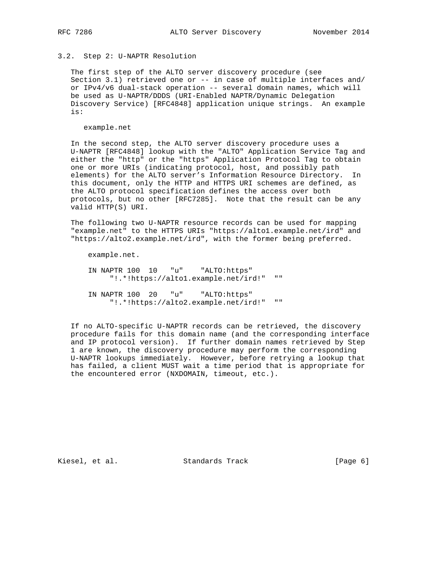## 3.2. Step 2: U-NAPTR Resolution

 The first step of the ALTO server discovery procedure (see Section 3.1) retrieved one or -- in case of multiple interfaces and/ or IPv4/v6 dual-stack operation -- several domain names, which will be used as U-NAPTR/DDDS (URI-Enabled NAPTR/Dynamic Delegation Discovery Service) [RFC4848] application unique strings. An example is:

example.net

 In the second step, the ALTO server discovery procedure uses a U-NAPTR [RFC4848] lookup with the "ALTO" Application Service Tag and either the "http" or the "https" Application Protocol Tag to obtain one or more URIs (indicating protocol, host, and possibly path elements) for the ALTO server's Information Resource Directory. In this document, only the HTTP and HTTPS URI schemes are defined, as the ALTO protocol specification defines the access over both protocols, but no other [RFC7285]. Note that the result can be any valid HTTP(S) URI.

 The following two U-NAPTR resource records can be used for mapping "example.net" to the HTTPS URIs "https://alto1.example.net/ird" and "https://alto2.example.net/ird", with the former being preferred.

example.net.

 IN NAPTR 100 10 "u" "ALTO:https" "!.\*!https://alto1.example.net/ird!" "" IN NAPTR 100 20 "u" "ALTO:https" "!.\*!https://alto2.example.net/ird!" ""

 If no ALTO-specific U-NAPTR records can be retrieved, the discovery procedure fails for this domain name (and the corresponding interface and IP protocol version). If further domain names retrieved by Step 1 are known, the discovery procedure may perform the corresponding U-NAPTR lookups immediately. However, before retrying a lookup that has failed, a client MUST wait a time period that is appropriate for the encountered error (NXDOMAIN, timeout, etc.).

Kiesel, et al. Standards Track [Page 6]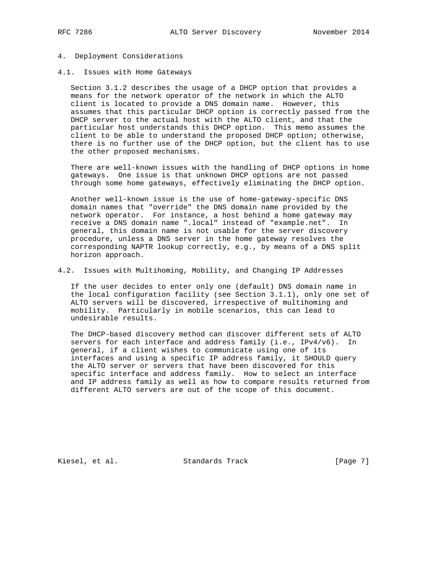## 4. Deployment Considerations

4.1. Issues with Home Gateways

 Section 3.1.2 describes the usage of a DHCP option that provides a means for the network operator of the network in which the ALTO client is located to provide a DNS domain name. However, this assumes that this particular DHCP option is correctly passed from the DHCP server to the actual host with the ALTO client, and that the particular host understands this DHCP option. This memo assumes the client to be able to understand the proposed DHCP option; otherwise, there is no further use of the DHCP option, but the client has to use the other proposed mechanisms.

 There are well-known issues with the handling of DHCP options in home gateways. One issue is that unknown DHCP options are not passed through some home gateways, effectively eliminating the DHCP option.

 Another well-known issue is the use of home-gateway-specific DNS domain names that "override" the DNS domain name provided by the network operator. For instance, a host behind a home gateway may receive a DNS domain name ".local" instead of "example.net". In general, this domain name is not usable for the server discovery procedure, unless a DNS server in the home gateway resolves the corresponding NAPTR lookup correctly, e.g., by means of a DNS split horizon approach.

4.2. Issues with Multihoming, Mobility, and Changing IP Addresses

 If the user decides to enter only one (default) DNS domain name in the local configuration facility (see Section 3.1.1), only one set of ALTO servers will be discovered, irrespective of multihoming and mobility. Particularly in mobile scenarios, this can lead to undesirable results.

 The DHCP-based discovery method can discover different sets of ALTO servers for each interface and address family (i.e., IPv4/v6). In general, if a client wishes to communicate using one of its interfaces and using a specific IP address family, it SHOULD query the ALTO server or servers that have been discovered for this specific interface and address family. How to select an interface and IP address family as well as how to compare results returned from different ALTO servers are out of the scope of this document.

Kiesel, et al. Standards Track [Page 7]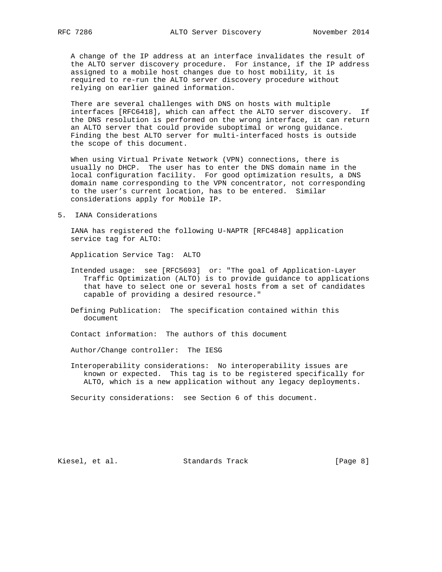A change of the IP address at an interface invalidates the result of the ALTO server discovery procedure. For instance, if the IP address assigned to a mobile host changes due to host mobility, it is required to re-run the ALTO server discovery procedure without relying on earlier gained information.

 There are several challenges with DNS on hosts with multiple interfaces [RFC6418], which can affect the ALTO server discovery. If the DNS resolution is performed on the wrong interface, it can return an ALTO server that could provide suboptimal or wrong guidance. Finding the best ALTO server for multi-interfaced hosts is outside the scope of this document.

 When using Virtual Private Network (VPN) connections, there is usually no DHCP. The user has to enter the DNS domain name in the local configuration facility. For good optimization results, a DNS domain name corresponding to the VPN concentrator, not corresponding to the user's current location, has to be entered. Similar considerations apply for Mobile IP.

5. IANA Considerations

 IANA has registered the following U-NAPTR [RFC4848] application service tag for ALTO:

Application Service Tag: ALTO

- Intended usage: see [RFC5693] or: "The goal of Application-Layer Traffic Optimization (ALTO) is to provide guidance to applications that have to select one or several hosts from a set of candidates capable of providing a desired resource."
- Defining Publication: The specification contained within this document

Contact information: The authors of this document

Author/Change controller: The IESG

 Interoperability considerations: No interoperability issues are known or expected. This tag is to be registered specifically for ALTO, which is a new application without any legacy deployments.

Security considerations: see Section 6 of this document.

Kiesel, et al. Standards Track [Page 8]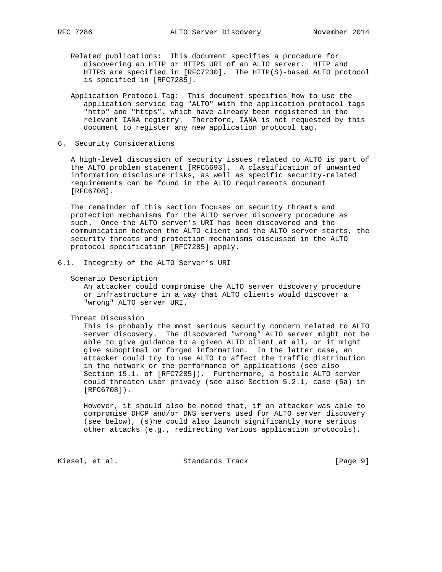Related publications: This document specifies a procedure for discovering an HTTP or HTTPS URI of an ALTO server. HTTP and HTTPS are specified in [RFC7230]. The HTTP(S)-based ALTO protocol is specified in [RFC7285].

- Application Protocol Tag: This document specifies how to use the application service tag "ALTO" with the application protocol tags "http" and "https", which have already been registered in the relevant IANA registry. Therefore, IANA is not requested by this document to register any new application protocol tag.
- 6. Security Considerations

 A high-level discussion of security issues related to ALTO is part of the ALTO problem statement [RFC5693]. A classification of unwanted information disclosure risks, as well as specific security-related requirements can be found in the ALTO requirements document [RFC6708].

 The remainder of this section focuses on security threats and protection mechanisms for the ALTO server discovery procedure as such. Once the ALTO server's URI has been discovered and the communication between the ALTO client and the ALTO server starts, the security threats and protection mechanisms discussed in the ALTO protocol specification [RFC7285] apply.

6.1. Integrity of the ALTO Server's URI

Scenario Description

 An attacker could compromise the ALTO server discovery procedure or infrastructure in a way that ALTO clients would discover a "wrong" ALTO server URI.

## Threat Discussion

 This is probably the most serious security concern related to ALTO server discovery. The discovered "wrong" ALTO server might not be able to give guidance to a given ALTO client at all, or it might give suboptimal or forged information. In the latter case, an attacker could try to use ALTO to affect the traffic distribution in the network or the performance of applications (see also Section 15.1. of [RFC7285]). Furthermore, a hostile ALTO server could threaten user privacy (see also Section 5.2.1, case (5a) in [RFC6708]).

 However, it should also be noted that, if an attacker was able to compromise DHCP and/or DNS servers used for ALTO server discovery (see below), (s)he could also launch significantly more serious other attacks (e.g., redirecting various application protocols).

Kiesel, et al. Standards Track [Page 9]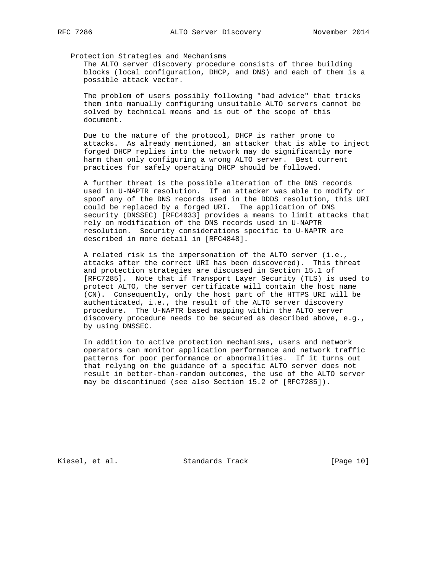## Protection Strategies and Mechanisms

 The ALTO server discovery procedure consists of three building blocks (local configuration, DHCP, and DNS) and each of them is a possible attack vector.

 The problem of users possibly following "bad advice" that tricks them into manually configuring unsuitable ALTO servers cannot be solved by technical means and is out of the scope of this document.

 Due to the nature of the protocol, DHCP is rather prone to attacks. As already mentioned, an attacker that is able to inject forged DHCP replies into the network may do significantly more harm than only configuring a wrong ALTO server. Best current practices for safely operating DHCP should be followed.

 A further threat is the possible alteration of the DNS records used in U-NAPTR resolution. If an attacker was able to modify or spoof any of the DNS records used in the DDDS resolution, this URI could be replaced by a forged URI. The application of DNS security (DNSSEC) [RFC4033] provides a means to limit attacks that rely on modification of the DNS records used in U-NAPTR resolution. Security considerations specific to U-NAPTR are described in more detail in [RFC4848].

 A related risk is the impersonation of the ALTO server (i.e., attacks after the correct URI has been discovered). This threat and protection strategies are discussed in Section 15.1 of [RFC7285]. Note that if Transport Layer Security (TLS) is used to protect ALTO, the server certificate will contain the host name (CN). Consequently, only the host part of the HTTPS URI will be authenticated, i.e., the result of the ALTO server discovery procedure. The U-NAPTR based mapping within the ALTO server discovery procedure needs to be secured as described above, e.g., by using DNSSEC.

 In addition to active protection mechanisms, users and network operators can monitor application performance and network traffic patterns for poor performance or abnormalities. If it turns out that relying on the guidance of a specific ALTO server does not result in better-than-random outcomes, the use of the ALTO server may be discontinued (see also Section 15.2 of [RFC7285]).

Kiesel, et al. Standards Track [Page 10]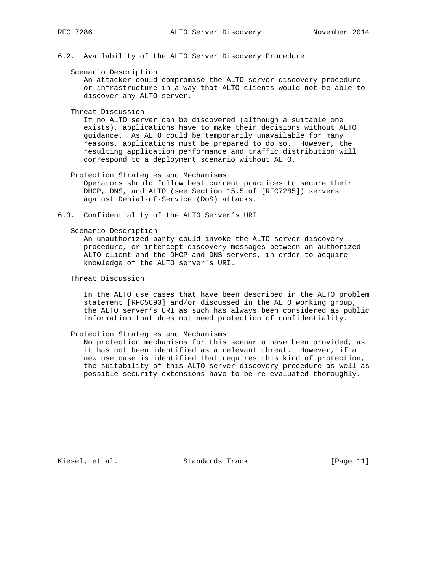6.2. Availability of the ALTO Server Discovery Procedure

#### Scenario Description

 An attacker could compromise the ALTO server discovery procedure or infrastructure in a way that ALTO clients would not be able to discover any ALTO server.

Threat Discussion

 If no ALTO server can be discovered (although a suitable one exists), applications have to make their decisions without ALTO guidance. As ALTO could be temporarily unavailable for many reasons, applications must be prepared to do so. However, the resulting application performance and traffic distribution will correspond to a deployment scenario without ALTO.

Protection Strategies and Mechanisms

 Operators should follow best current practices to secure their DHCP, DNS, and ALTO (see Section 15.5 of [RFC7285]) servers against Denial-of-Service (DoS) attacks.

6.3. Confidentiality of the ALTO Server's URI

#### Scenario Description

 An unauthorized party could invoke the ALTO server discovery procedure, or intercept discovery messages between an authorized ALTO client and the DHCP and DNS servers, in order to acquire knowledge of the ALTO server's URI.

## Threat Discussion

 In the ALTO use cases that have been described in the ALTO problem statement [RFC5693] and/or discussed in the ALTO working group, the ALTO server's URI as such has always been considered as public information that does not need protection of confidentiality.

## Protection Strategies and Mechanisms

 No protection mechanisms for this scenario have been provided, as it has not been identified as a relevant threat. However, if a new use case is identified that requires this kind of protection, the suitability of this ALTO server discovery procedure as well as possible security extensions have to be re-evaluated thoroughly.

Kiesel, et al. Standards Track [Page 11]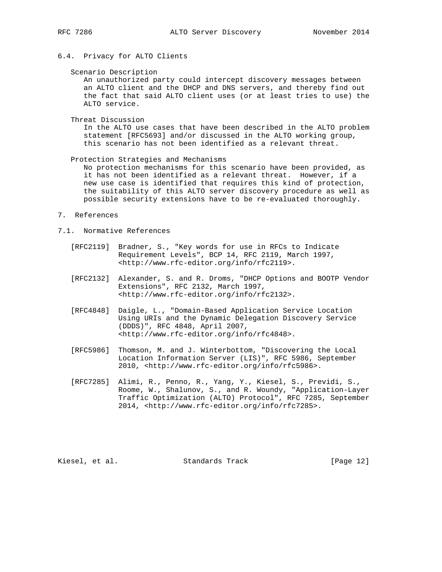## 6.4. Privacy for ALTO Clients

Scenario Description

 An unauthorized party could intercept discovery messages between an ALTO client and the DHCP and DNS servers, and thereby find out the fact that said ALTO client uses (or at least tries to use) the ALTO service.

Threat Discussion

 In the ALTO use cases that have been described in the ALTO problem statement [RFC5693] and/or discussed in the ALTO working group, this scenario has not been identified as a relevant threat.

Protection Strategies and Mechanisms

 No protection mechanisms for this scenario have been provided, as it has not been identified as a relevant threat. However, if a new use case is identified that requires this kind of protection, the suitability of this ALTO server discovery procedure as well as possible security extensions have to be re-evaluated thoroughly.

- 7. References
- 7.1. Normative References
	- [RFC2119] Bradner, S., "Key words for use in RFCs to Indicate Requirement Levels", BCP 14, RFC 2119, March 1997, <http://www.rfc-editor.org/info/rfc2119>.
	- [RFC2132] Alexander, S. and R. Droms, "DHCP Options and BOOTP Vendor Extensions", RFC 2132, March 1997, <http://www.rfc-editor.org/info/rfc2132>.
	- [RFC4848] Daigle, L., "Domain-Based Application Service Location Using URIs and the Dynamic Delegation Discovery Service (DDDS)", RFC 4848, April 2007, <http://www.rfc-editor.org/info/rfc4848>.
	- [RFC5986] Thomson, M. and J. Winterbottom, "Discovering the Local Location Information Server (LIS)", RFC 5986, September 2010, <http://www.rfc-editor.org/info/rfc5986>.
	- [RFC7285] Alimi, R., Penno, R., Yang, Y., Kiesel, S., Previdi, S., Roome, W., Shalunov, S., and R. Woundy, "Application-Layer Traffic Optimization (ALTO) Protocol", RFC 7285, September 2014, <http://www.rfc-editor.org/info/rfc7285>.

Kiesel, et al. Standards Track [Page 12]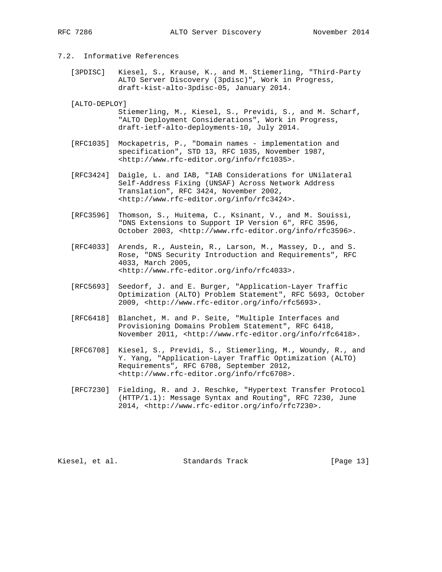## 7.2. Informative References

- [3PDISC] Kiesel, S., Krause, K., and M. Stiemerling, "Third-Party ALTO Server Discovery (3pdisc)", Work in Progress, draft-kist-alto-3pdisc-05, January 2014.
- [ALTO-DEPLOY] Stiemerling, M., Kiesel, S., Previdi, S., and M. Scharf, "ALTO Deployment Considerations", Work in Progress, draft-ietf-alto-deployments-10, July 2014.
- [RFC1035] Mockapetris, P., "Domain names implementation and specification", STD 13, RFC 1035, November 1987, <http://www.rfc-editor.org/info/rfc1035>.
- [RFC3424] Daigle, L. and IAB, "IAB Considerations for UNilateral Self-Address Fixing (UNSAF) Across Network Address Translation", RFC 3424, November 2002, <http://www.rfc-editor.org/info/rfc3424>.
- [RFC3596] Thomson, S., Huitema, C., Ksinant, V., and M. Souissi, "DNS Extensions to Support IP Version 6", RFC 3596, October 2003, <http://www.rfc-editor.org/info/rfc3596>.
- [RFC4033] Arends, R., Austein, R., Larson, M., Massey, D., and S. Rose, "DNS Security Introduction and Requirements", RFC 4033, March 2005, <http://www.rfc-editor.org/info/rfc4033>.
- [RFC5693] Seedorf, J. and E. Burger, "Application-Layer Traffic Optimization (ALTO) Problem Statement", RFC 5693, October 2009, <http://www.rfc-editor.org/info/rfc5693>.
- [RFC6418] Blanchet, M. and P. Seite, "Multiple Interfaces and Provisioning Domains Problem Statement", RFC 6418, November 2011, <http://www.rfc-editor.org/info/rfc6418>.
- [RFC6708] Kiesel, S., Previdi, S., Stiemerling, M., Woundy, R., and Y. Yang, "Application-Layer Traffic Optimization (ALTO) Requirements", RFC 6708, September 2012, <http://www.rfc-editor.org/info/rfc6708>.
- [RFC7230] Fielding, R. and J. Reschke, "Hypertext Transfer Protocol (HTTP/1.1): Message Syntax and Routing", RFC 7230, June 2014, <http://www.rfc-editor.org/info/rfc7230>.

Kiesel, et al. Standards Track [Page 13]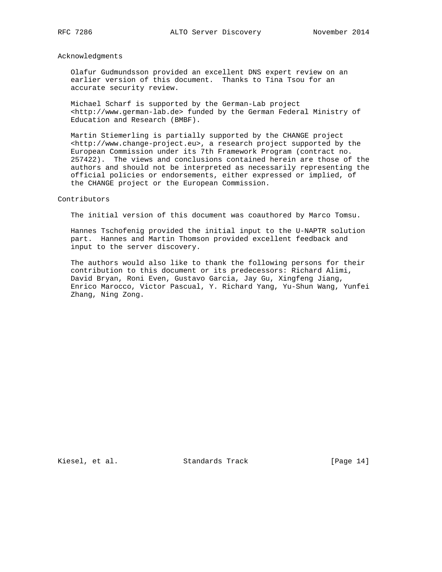## Acknowledgments

 Olafur Gudmundsson provided an excellent DNS expert review on an earlier version of this document. Thanks to Tina Tsou for an accurate security review.

 Michael Scharf is supported by the German-Lab project <http://www.german-lab.de> funded by the German Federal Ministry of Education and Research (BMBF).

 Martin Stiemerling is partially supported by the CHANGE project <http://www.change-project.eu>, a research project supported by the European Commission under its 7th Framework Program (contract no. 257422). The views and conclusions contained herein are those of the authors and should not be interpreted as necessarily representing the official policies or endorsements, either expressed or implied, of the CHANGE project or the European Commission.

## Contributors

The initial version of this document was coauthored by Marco Tomsu.

 Hannes Tschofenig provided the initial input to the U-NAPTR solution part. Hannes and Martin Thomson provided excellent feedback and input to the server discovery.

 The authors would also like to thank the following persons for their contribution to this document or its predecessors: Richard Alimi, David Bryan, Roni Even, Gustavo Garcia, Jay Gu, Xingfeng Jiang, Enrico Marocco, Victor Pascual, Y. Richard Yang, Yu-Shun Wang, Yunfei Zhang, Ning Zong.

Kiesel, et al. Standards Track [Page 14]